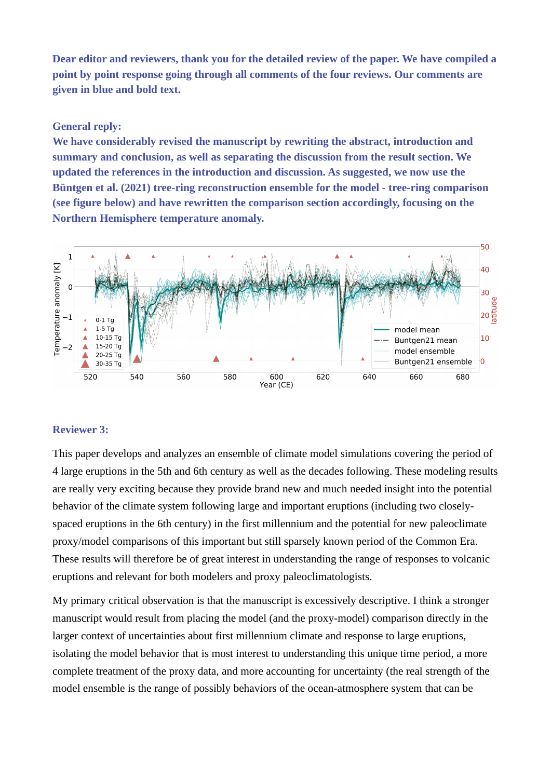**Dear editor and reviewers, thank you for the detailed review of the paper. We have compiled a point by point response going through all comments of the four reviews. Our comments are given in blue and bold text.**

# **General reply:**

**We have considerably revised the manuscript by rewriting the abstract, introduction and summary and conclusion, as well as separating the discussion from the result section. We updated the references in the introduction and discussion. As suggested, we now use the Büntgen et al. (2021) tree-ring reconstruction ensemble for the model - tree-ring comparison (see figure below) and have rewritten the comparison section accordingly, focusing on the Northern Hemisphere temperature anomaly.** 



# **Reviewer 3:**

This paper develops and analyzes an ensemble of climate model simulations covering the period of 4 large eruptions in the 5th and 6th century as well as the decades following. These modeling results are really very exciting because they provide brand new and much needed insight into the potential behavior of the climate system following large and important eruptions (including two closelyspaced eruptions in the 6th century) in the first millennium and the potential for new paleoclimate proxy/model comparisons of this important but still sparsely known period of the Common Era. These results will therefore be of great interest in understanding the range of responses to volcanic eruptions and relevant for both modelers and proxy paleoclimatologists.

My primary critical observation is that the manuscript is excessively descriptive. I think a stronger manuscript would result from placing the model (and the proxy-model) comparison directly in the larger context of uncertainties about first millennium climate and response to large eruptions, isolating the model behavior that is most interest to understanding this unique time period, a more complete treatment of the proxy data, and more accounting for uncertainty (the real strength of the model ensemble is the range of possibly behaviors of the ocean-atmosphere system that can be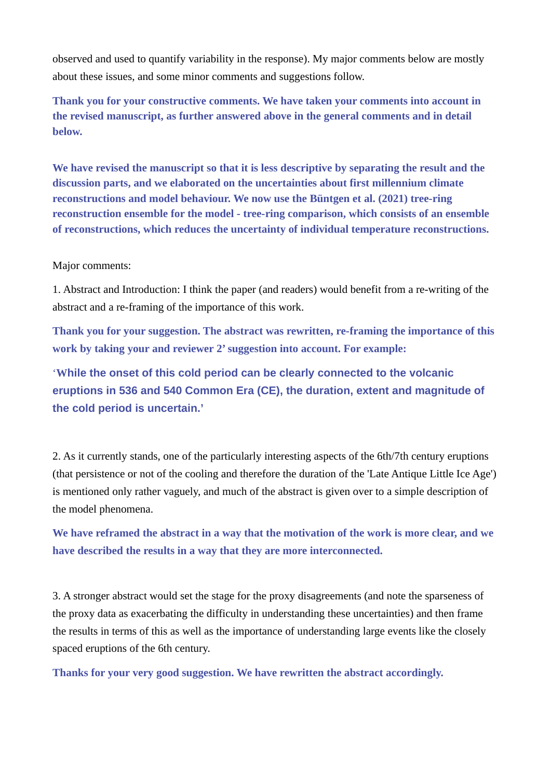observed and used to quantify variability in the response). My major comments below are mostly about these issues, and some minor comments and suggestions follow.

**Thank you for your constructive comments. We have taken your comments into account in the revised manuscript, as further answered above in the general comments and in detail below.**

**We have revised the manuscript so that it is less descriptive by separating the result and the discussion parts, and we elaborated on the uncertainties about first millennium climate reconstructions and model behaviour. We now use the Büntgen et al. (2021) tree-ring reconstruction ensemble for the model - tree-ring comparison, which consists of an ensemble of reconstructions, which reduces the uncertainty of individual temperature reconstructions.**

# Major comments:

1. Abstract and Introduction: I think the paper (and readers) would benefit from a re-writing of the abstract and a re-framing of the importance of this work.

**Thank you for your suggestion. The abstract was rewritten, re-framing the importance of this work by taking your and reviewer 2' suggestion into account. For example:**

'**While the onset of this cold period can be clearly connected to the volcanic eruptions in 536 and 540 Common Era (CE), the duration, extent and magnitude of the cold period is uncertain.'**

2. As it currently stands, one of the particularly interesting aspects of the 6th/7th century eruptions (that persistence or not of the cooling and therefore the duration of the 'Late Antique Little Ice Age') is mentioned only rather vaguely, and much of the abstract is given over to a simple description of the model phenomena.

**We have reframed the abstract in a way that the motivation of the work is more clear, and we have described the results in a way that they are more interconnected.**

3. A stronger abstract would set the stage for the proxy disagreements (and note the sparseness of the proxy data as exacerbating the difficulty in understanding these uncertainties) and then frame the results in terms of this as well as the importance of understanding large events like the closely spaced eruptions of the 6th century.

**Thanks for your very good suggestion. We have rewritten the abstract accordingly.**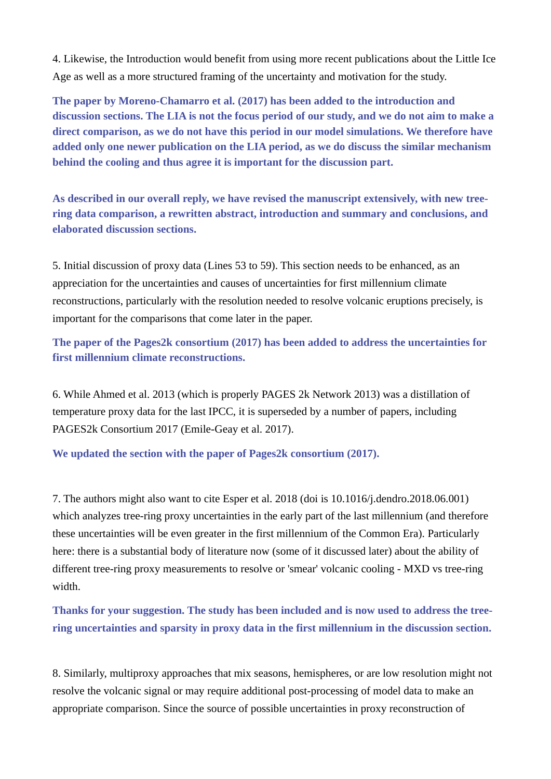4. Likewise, the Introduction would benefit from using more recent publications about the Little Ice Age as well as a more structured framing of the uncertainty and motivation for the study.

**The paper by Moreno-Chamarro et al. (2017) has been added to the introduction and discussion sections. The LIA is not the focus period of our study, and we do not aim to make a direct comparison, as we do not have this period in our model simulations. We therefore have added only one newer publication on the LIA period, as we do discuss the similar mechanism behind the cooling and thus agree it is important for the discussion part.**

**As described in our overall reply, we have revised the manuscript extensively, with new treering data comparison, a rewritten abstract, introduction and summary and conclusions, and elaborated discussion sections.**

5. Initial discussion of proxy data (Lines 53 to 59). This section needs to be enhanced, as an appreciation for the uncertainties and causes of uncertainties for first millennium climate reconstructions, particularly with the resolution needed to resolve volcanic eruptions precisely, is important for the comparisons that come later in the paper.

**The paper of the Pages2k consortium (2017) has been added to address the uncertainties for first millennium climate reconstructions.**

6. While Ahmed et al. 2013 (which is properly PAGES 2k Network 2013) was a distillation of temperature proxy data for the last IPCC, it is superseded by a number of papers, including PAGES2k Consortium 2017 (Emile-Geay et al. 2017).

**We updated the section with the paper of Pages2k consortium (2017).**

7. The authors might also want to cite Esper et al. 2018 (doi is 10.1016/j.dendro.2018.06.001) which analyzes tree-ring proxy uncertainties in the early part of the last millennium (and therefore these uncertainties will be even greater in the first millennium of the Common Era). Particularly here: there is a substantial body of literature now (some of it discussed later) about the ability of different tree-ring proxy measurements to resolve or 'smear' volcanic cooling - MXD vs tree-ring width.

**Thanks for your suggestion. The study has been included and is now used to address the treering uncertainties and sparsity in proxy data in the first millennium in the discussion section.**

8. Similarly, multiproxy approaches that mix seasons, hemispheres, or are low resolution might not resolve the volcanic signal or may require additional post-processing of model data to make an appropriate comparison. Since the source of possible uncertainties in proxy reconstruction of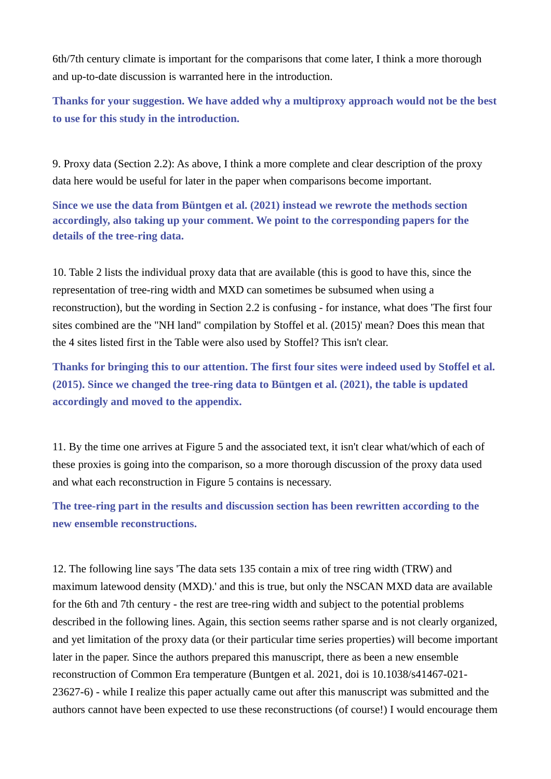6th/7th century climate is important for the comparisons that come later, I think a more thorough and up-to-date discussion is warranted here in the introduction.

**Thanks for your suggestion. We have added why a multiproxy approach would not be the best to use for this study in the introduction.**

9. Proxy data (Section 2.2): As above, I think a more complete and clear description of the proxy data here would be useful for later in the paper when comparisons become important.

**Since we use the data from Büntgen et al. (2021) instead we rewrote the methods section accordingly, also taking up your comment. We point to the corresponding papers for the details of the tree-ring data.**

10. Table 2 lists the individual proxy data that are available (this is good to have this, since the representation of tree-ring width and MXD can sometimes be subsumed when using a reconstruction), but the wording in Section 2.2 is confusing - for instance, what does 'The first four sites combined are the "NH land" compilation by Stoffel et al. (2015)' mean? Does this mean that the 4 sites listed first in the Table were also used by Stoffel? This isn't clear.

**Thanks for bringing this to our attention. The first four sites were indeed used by Stoffel et al. (2015). Since we changed the tree-ring data to Büntgen et al. (2021), the table is updated accordingly and moved to the appendix.**

11. By the time one arrives at Figure 5 and the associated text, it isn't clear what/which of each of these proxies is going into the comparison, so a more thorough discussion of the proxy data used and what each reconstruction in Figure 5 contains is necessary.

**The tree-ring part in the results and discussion section has been rewritten according to the new ensemble reconstructions.**

12. The following line says 'The data sets 135 contain a mix of tree ring width (TRW) and maximum latewood density (MXD).' and this is true, but only the NSCAN MXD data are available for the 6th and 7th century - the rest are tree-ring width and subject to the potential problems described in the following lines. Again, this section seems rather sparse and is not clearly organized, and yet limitation of the proxy data (or their particular time series properties) will become important later in the paper. Since the authors prepared this manuscript, there as been a new ensemble reconstruction of Common Era temperature (Buntgen et al. 2021, doi is 10.1038/s41467-021- 23627-6) - while I realize this paper actually came out after this manuscript was submitted and the authors cannot have been expected to use these reconstructions (of course!) I would encourage them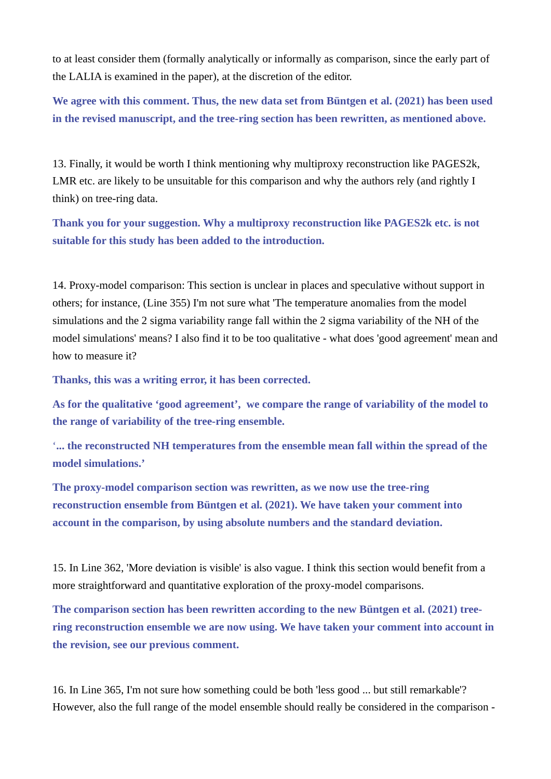to at least consider them (formally analytically or informally as comparison, since the early part of the LALIA is examined in the paper), at the discretion of the editor.

**We agree with this comment. Thus, the new data set from Büntgen et al. (2021) has been used in the revised manuscript, and the tree-ring section has been rewritten, as mentioned above.**

13. Finally, it would be worth I think mentioning why multiproxy reconstruction like PAGES2k, LMR etc. are likely to be unsuitable for this comparison and why the authors rely (and rightly I think) on tree-ring data.

**Thank you for your suggestion. Why a multiproxy reconstruction like PAGES2k etc. is not suitable for this study has been added to the introduction.**

14. Proxy-model comparison: This section is unclear in places and speculative without support in others; for instance, (Line 355) I'm not sure what 'The temperature anomalies from the model simulations and the 2 sigma variability range fall within the 2 sigma variability of the NH of the model simulations' means? I also find it to be too qualitative - what does 'good agreement' mean and how to measure it?

**Thanks, this was a writing error, it has been corrected.**

**As for the qualitative 'good agreement', we compare the range of variability of the model to the range of variability of the tree-ring ensemble.**

'**... the reconstructed NH temperatures from the ensemble mean fall within the spread of the model simulations.'**

**The proxy-model comparison section was rewritten, as we now use the tree-ring reconstruction ensemble from Büntgen et al. (2021). We have taken your comment into account in the comparison, by using absolute numbers and the standard deviation.**

15. In Line 362, 'More deviation is visible' is also vague. I think this section would benefit from a more straightforward and quantitative exploration of the proxy-model comparisons.

**The comparison section has been rewritten according to the new Büntgen et al. (2021) treering reconstruction ensemble we are now using. We have taken your comment into account in the revision, see our previous comment.**

16. In Line 365, I'm not sure how something could be both 'less good ... but still remarkable'? However, also the full range of the model ensemble should really be considered in the comparison -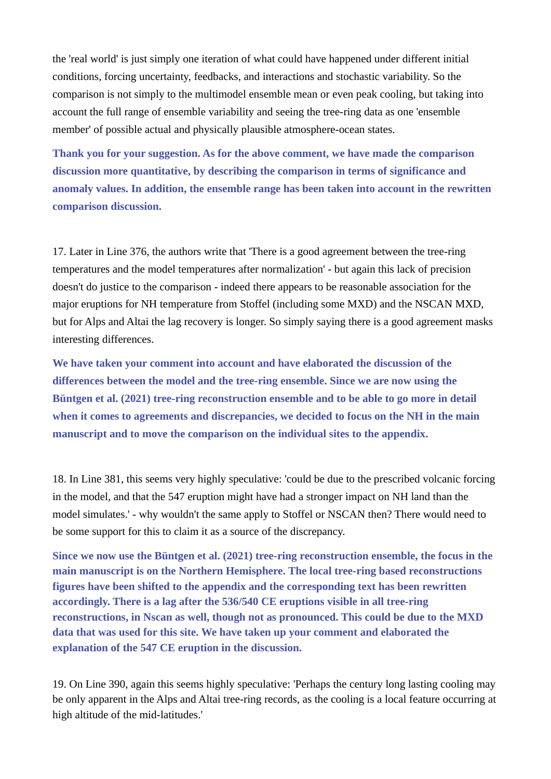the 'real world' is just simply one iteration of what could have happened under different initial conditions, forcing uncertainty, feedbacks, and interactions and stochastic variability. So the comparison is not simply to the multimodel ensemble mean or even peak cooling, but taking into account the full range of ensemble variability and seeing the tree-ring data as one 'ensemble member' of possible actual and physically plausible atmosphere-ocean states.

**Thank you for your suggestion. As for the above comment, we have made the comparison discussion more quantitative, by describing the comparison in terms of significance and anomaly values. In addition, the ensemble range has been taken into account in the rewritten comparison discussion.**

17. Later in Line 376, the authors write that 'There is a good agreement between the tree-ring temperatures and the model temperatures after normalization' - but again this lack of precision doesn't do justice to the comparison - indeed there appears to be reasonable association for the major eruptions for NH temperature from Stoffel (including some MXD) and the NSCAN MXD, but for Alps and Altai the lag recovery is longer. So simply saying there is a good agreement masks interesting differences.

**We have taken your comment into account and have elaborated the discussion of the differences between the model and the tree-ring ensemble. Since we are now using the Büntgen et al. (2021) tree-ring reconstruction ensemble and to be able to go more in detail when it comes to agreements and discrepancies, we decided to focus on the NH in the main manuscript and to move the comparison on the individual sites to the appendix.**

18. In Line 381, this seems very highly speculative: 'could be due to the prescribed volcanic forcing in the model, and that the 547 eruption might have had a stronger impact on NH land than the model simulates.' - why wouldn't the same apply to Stoffel or NSCAN then? There would need to be some support for this to claim it as a source of the discrepancy.

**Since we now use the Büntgen et al. (2021) tree-ring reconstruction ensemble, the focus in the main manuscript is on the Northern Hemisphere. The local tree-ring based reconstructions figures have been shifted to the appendix and the corresponding text has been rewritten accordingly. There is a lag after the 536/540 CE eruptions visible in all tree-ring reconstructions, in Nscan as well, though not as pronounced. This could be due to the MXD data that was used for this site. We have taken up your comment and elaborated the explanation of the 547 CE eruption in the discussion.**

19. On Line 390, again this seems highly speculative: 'Perhaps the century long lasting cooling may be only apparent in the Alps and Altai tree-ring records, as the cooling is a local feature occurring at high altitude of the mid-latitudes.'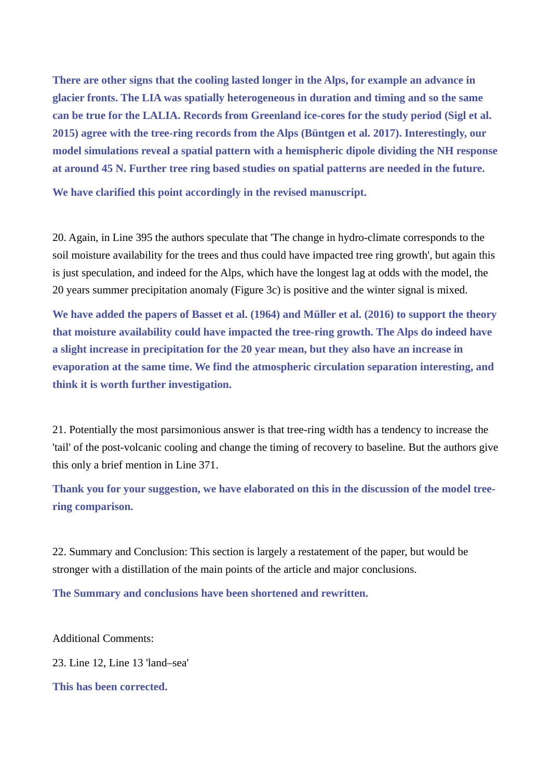**There are other signs that the cooling lasted longer in the Alps, for example an advance in glacier fronts. The LIA was spatially heterogeneous in duration and timing and so the same can be true for the LALIA. Records from Greenland ice-cores for the study period (Sigl et al. 2015) agree with the tree-ring records from the Alps (Büntgen et al. 2017). Interestingly, our model simulations reveal a spatial pattern with a hemispheric dipole dividing the NH response at around 45 N. Further tree ring based studies on spatial patterns are needed in the future.**

**We have clarified this point accordingly in the revised manuscript.**

20. Again, in Line 395 the authors speculate that 'The change in hydro-climate corresponds to the soil moisture availability for the trees and thus could have impacted tree ring growth', but again this is just speculation, and indeed for the Alps, which have the longest lag at odds with the model, the 20 years summer precipitation anomaly (Figure 3c) is positive and the winter signal is mixed.

**We have added the papers of Basset et al. (1964) and Müller et al. (2016) to support the theory that moisture availability could have impacted the tree-ring growth. The Alps do indeed have a slight increase in precipitation for the 20 year mean, but they also have an increase in evaporation at the same time. We find the atmospheric circulation separation interesting, and think it is worth further investigation.**

21. Potentially the most parsimonious answer is that tree-ring width has a tendency to increase the 'tail' of the post-volcanic cooling and change the timing of recovery to baseline. But the authors give this only a brief mention in Line 371.

**Thank you for your suggestion, we have elaborated on this in the discussion of the model treering comparison.**

22. Summary and Conclusion: This section is largely a restatement of the paper, but would be stronger with a distillation of the main points of the article and major conclusions.

**The Summary and conclusions have been shortened and rewritten.**

Additional Comments:

23. Line 12, Line 13 'land–sea'

**This has been corrected.**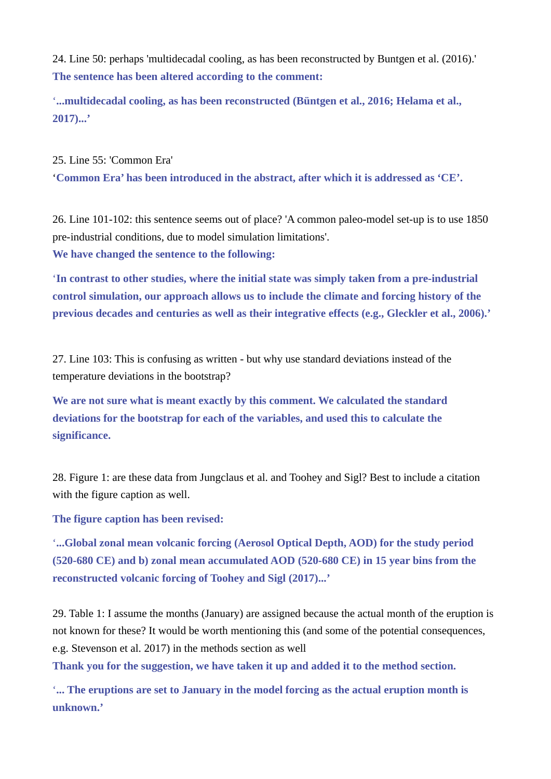24. Line 50: perhaps 'multidecadal cooling, as has been reconstructed by Buntgen et al. (2016).' **The sentence has been altered according to the comment:**

'**...multidecadal cooling, as has been reconstructed (Büntgen et al., 2016; Helama et al., 2017)...'**

25. Line 55: 'Common Era' '**Common Era' has been introduced in the abstract, after which it is addressed as 'CE'.**

26. Line 101-102: this sentence seems out of place? 'A common paleo-model set-up is to use 1850 pre-industrial conditions, due to model simulation limitations'. **We have changed the sentence to the following:**

'**In contrast to other studies, where the initial state was simply taken from a pre-industrial control simulation, our approach allows us to include the climate and forcing history of the previous decades and centuries as well as their integrative effects (e.g., Gleckler et al., 2006).'**

27. Line 103: This is confusing as written - but why use standard deviations instead of the temperature deviations in the bootstrap?

**We are not sure what is meant exactly by this comment. We calculated the standard deviations for the bootstrap for each of the variables, and used this to calculate the significance.**

28. Figure 1: are these data from Jungclaus et al. and Toohey and Sigl? Best to include a citation with the figure caption as well.

**The figure caption has been revised:**

'**...Global zonal mean volcanic forcing (Aerosol Optical Depth, AOD) for the study period (520-680 CE) and b) zonal mean accumulated AOD (520-680 CE) in 15 year bins from the reconstructed volcanic forcing of Toohey and Sigl (2017)...'**

29. Table 1: I assume the months (January) are assigned because the actual month of the eruption is not known for these? It would be worth mentioning this (and some of the potential consequences, e.g. Stevenson et al. 2017) in the methods section as well

**Thank you for the suggestion, we have taken it up and added it to the method section.**

'**... The eruptions are set to January in the model forcing as the actual eruption month is unknown.'**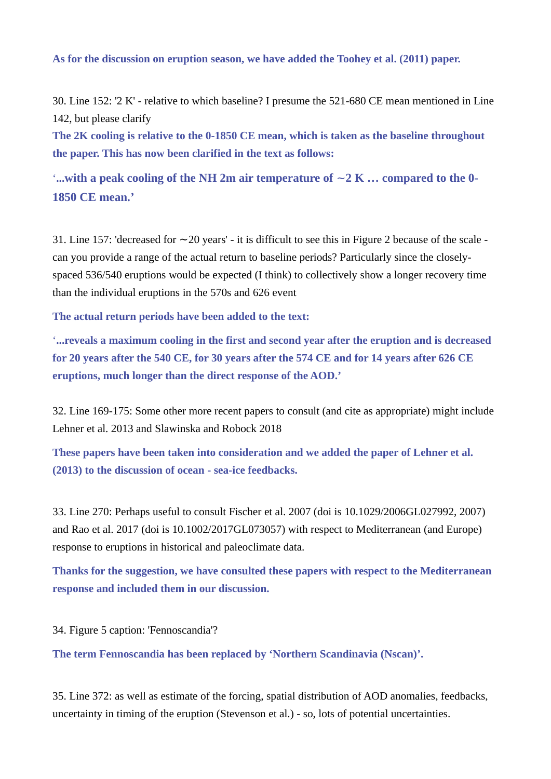### **As for the discussion on eruption season, we have added the Toohey et al. (2011) paper.**

30. Line 152: '2 K' - relative to which baseline? I presume the 521-680 CE mean mentioned in Line 142, but please clarify

**The 2K cooling is relative to the 0-1850 CE mean, which is taken as the baseline throughout the paper. This has now been clarified in the text as follows:**

'**...with a peak cooling of the NH 2m air temperature of** ∼**2 K … compared to the 0- 1850 CE mean.'**

31. Line 157: 'decreased for 20 years' - it is difficult to see this in Figure 2 because of the scale - ∼ can you provide a range of the actual return to baseline periods? Particularly since the closelyspaced 536/540 eruptions would be expected (I think) to collectively show a longer recovery time than the individual eruptions in the 570s and 626 event

**The actual return periods have been added to the text:**

'**...reveals a maximum cooling in the first and second year after the eruption and is decreased for 20 years after the 540 CE, for 30 years after the 574 CE and for 14 years after 626 CE eruptions, much longer than the direct response of the AOD.'**

32. Line 169-175: Some other more recent papers to consult (and cite as appropriate) might include Lehner et al. 2013 and Slawinska and Robock 2018

**These papers have been taken into consideration and we added the paper of Lehner et al. (2013) to the discussion of ocean - sea-ice feedbacks.**

33. Line 270: Perhaps useful to consult Fischer et al. 2007 (doi is 10.1029/2006GL027992, 2007) and Rao et al. 2017 (doi is 10.1002/2017GL073057) with respect to Mediterranean (and Europe) response to eruptions in historical and paleoclimate data.

**Thanks for the suggestion, we have consulted these papers with respect to the Mediterranean response and included them in our discussion.**

34. Figure 5 caption: 'Fennoscandia'?

**The term Fennoscandia has been replaced by 'Northern Scandinavia (Nscan)'.**

35. Line 372: as well as estimate of the forcing, spatial distribution of AOD anomalies, feedbacks, uncertainty in timing of the eruption (Stevenson et al.) - so, lots of potential uncertainties.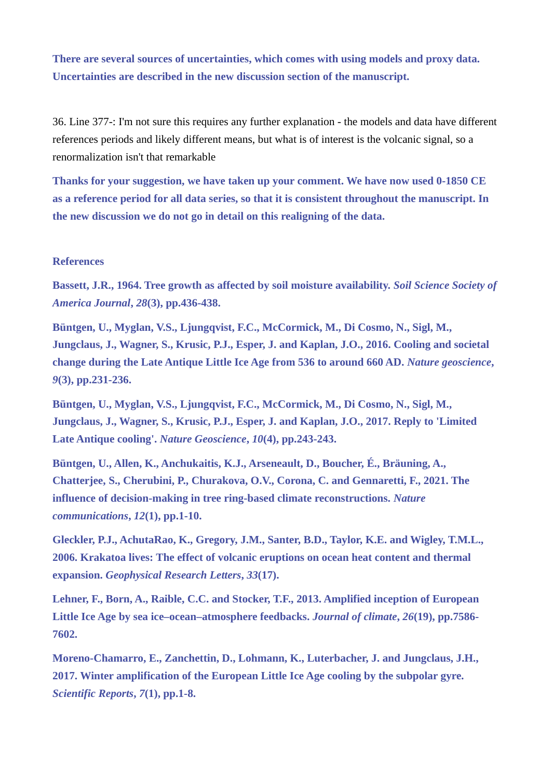**There are several sources of uncertainties, which comes with using models and proxy data. Uncertainties are described in the new discussion section of the manuscript.**

36. Line 377-: I'm not sure this requires any further explanation - the models and data have different references periods and likely different means, but what is of interest is the volcanic signal, so a renormalization isn't that remarkable

**Thanks for your suggestion, we have taken up your comment. We have now used 0-1850 CE as a reference period for all data series, so that it is consistent throughout the manuscript. In the new discussion we do not go in detail on this realigning of the data.**

### **References**

**Bassett, J.R., 1964. Tree growth as affected by soil moisture availability.** *Soil Science Society of America Journal***,** *28***(3), pp.436-438.**

**Büntgen, U., Myglan, V.S., Ljungqvist, F.C., McCormick, M., Di Cosmo, N., Sigl, M., Jungclaus, J., Wagner, S., Krusic, P.J., Esper, J. and Kaplan, J.O., 2016. Cooling and societal change during the Late Antique Little Ice Age from 536 to around 660 AD.** *Nature geoscience***,**  *9***(3), pp.231-236.**

**Büntgen, U., Myglan, V.S., Ljungqvist, F.C., McCormick, M., Di Cosmo, N., Sigl, M., Jungclaus, J., Wagner, S., Krusic, P.J., Esper, J. and Kaplan, J.O., 2017. Reply to 'Limited Late Antique cooling'.** *Nature Geoscience***,** *10***(4), pp.243-243.**

**Büntgen, U., Allen, K., Anchukaitis, K.J., Arseneault, D., Boucher, É., Bräuning, A., Chatterjee, S., Cherubini, P., Churakova, O.V., Corona, C. and Gennaretti, F., 2021. The influence of decision-making in tree ring-based climate reconstructions.** *Nature communications***,** *12***(1), pp.1-10.**

**Gleckler, P.J., AchutaRao, K., Gregory, J.M., Santer, B.D., Taylor, K.E. and Wigley, T.M.L., 2006. Krakatoa lives: The effect of volcanic eruptions on ocean heat content and thermal expansion.** *Geophysical Research Letters***,** *33***(17).**

**Lehner, F., Born, A., Raible, C.C. and Stocker, T.F., 2013. Amplified inception of European Little Ice Age by sea ice–ocean–atmosphere feedbacks.** *Journal of climate***,** *26***(19), pp.7586- 7602.**

**Moreno-Chamarro, E., Zanchettin, D., Lohmann, K., Luterbacher, J. and Jungclaus, J.H., 2017. Winter amplification of the European Little Ice Age cooling by the subpolar gyre.**  *Scientific Reports***,** *7***(1), pp.1-8.**